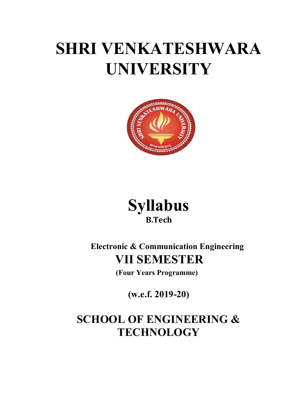# SHRI VENKATESHWARA UNIVERSITY





Electronic & Communication Engineering VII SEMESTER

(Four Years Programme)

(w.e.f. 2019-20)

# SCHOOL OF ENGINEERING & **TECHNOLOGY**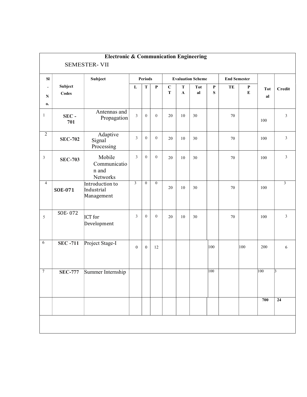|                |                  | <b>Electronic &amp; Communication Engineering</b><br><b>SEMESTER-VII</b> |                  |                  |                |                          |                          |                 |                          |                     |              |                  |                 |
|----------------|------------------|--------------------------------------------------------------------------|------------------|------------------|----------------|--------------------------|--------------------------|-----------------|--------------------------|---------------------|--------------|------------------|-----------------|
| ${\bf S}$      |                  | Subject                                                                  | <b>Periods</b>   |                  |                | <b>Evaluation Scheme</b> |                          |                 |                          | <b>End Semester</b> |              |                  |                 |
| N<br>0.        | Subject<br>Codes |                                                                          | L                | $\mathbf T$      | $\mathbf P$    | $\mathbf C$<br>T         | ${\bf T}$<br>$\mathbf A$ | <b>Tot</b><br>a | $\mathbf P$<br>${\bf S}$ | TE                  | P<br>$\bf E$ | <b>Tot</b><br>al | Credit          |
| $\mathbf{1}$   | $SEC -$<br>701   | Antennas and<br>Propagation                                              | $\overline{3}$   | $\overline{0}$   | $\overline{0}$ | 20                       | 10                       | 30              |                          | 70                  |              | 100              | $\mathfrak{Z}$  |
| $\sqrt{2}$     | <b>SEC-702</b>   | Adaptive<br>Signal<br>Processing                                         | $\mathfrak{Z}$   | $\mathbf{0}$     | $\mathbf{0}$   | 20                       | 10                       | 30              |                          | $70\,$              |              | 100              | $\mathfrak{Z}$  |
| $\sqrt{3}$     | <b>SEC-703</b>   | Mobile<br>Communicatio<br>n and<br>Networks                              | $\mathfrak{Z}$   | $\mathbf{0}$     | $\overline{0}$ | 20                       | 10                       | 30              |                          | 70                  |              | 100              | $\mathfrak{Z}$  |
| $\overline{4}$ | <b>SOE-071</b>   | Introduction to<br>Industrial<br>Management                              | $\mathfrak{Z}$   | $\mathbf{0}$     | $\mathbf{0}$   | 20                       | 10                       | 30              |                          | 70                  |              | 100              | $\mathbf{3}$    |
| 5              | SOE-072          | <b>ICT</b> for<br>Development                                            | $\mathfrak{Z}$   | $\overline{0}$   | $\mathbf{0}$   | 20                       | 10                       | 30              |                          | 70                  |              | 100              | $\mathfrak{Z}$  |
| 6              | <b>SEC-711</b>   | Project Stage-I                                                          | $\boldsymbol{0}$ | $\boldsymbol{0}$ | 12             |                          |                          |                 | 100                      |                     | 100          | 200              | $\sqrt{6}$      |
| $\tau$         | <b>SEC-777</b>   | Summer Internship                                                        |                  |                  |                |                          |                          |                 | 100                      |                     |              | 100              | $\vert$ 3       |
|                |                  |                                                                          |                  |                  |                |                          |                          |                 |                          |                     |              | 700              | $\overline{24}$ |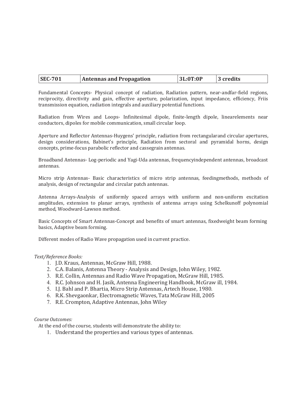Fundamental Concepts- Physical concept of radiation, Radiation pattern, near-andfar-field regions, reciprocity, directivity and gain, effective aperture, polarization, input impedance, efficiency, Friis transmission equation, radiation integrals and auxiliary potential functions.

Radiation from Wires and Loops- Infinitesimal dipole, finite-length dipole, linearelements near conductors, dipoles for mobile communication, small circular loop.

Aperture and Reflector Antennas-Huygens' principle, radiation from rectangularand circular apertures, design considerations, Babinet's principle, Radiation from sectoral and pyramidal horns, design concepts, prime-focus parabolic reflector and cassegrain antennas.

Broadband Antennas- Log-periodic and Yagi-Uda antennas, frequencyindependent antennas, broadcast antennas.

Micro strip Antennas- Basic characteristics of micro strip antennas, feedingmethods, methods of analysis, design of rectangular and circular patch antennas.

Antenna Arrays-Analysis of uniformly spaced arrays with uniform and non-uniform excitation amplitudes, extension to planar arrays, synthesis of antenna arrays using Schelkunoff polynomial method, Woodward-Lawson method.

Basic Concepts of Smart Antennas-Concept and benefits of smart antennas, fixedweight beam forming basics, Adaptive beam forming.

Different modes of Radio Wave propagation used in current practice.

#### Text/Reference Books:

- 1. J.D. Kraus, Antennas, McGraw Hill, 1988.
- 2. C.A. Balanis, Antenna Theory Analysis and Design, John Wiley, 1982.
- 3. R.E. Collin, Antennas and Radio Wave Propagation, McGraw Hill, 1985.
- 4. R.C. Johnson and H. Jasik, Antenna Engineering Handbook, McGraw ill, 1984.
- 5. I.J. Bahl and P. Bhartia, Micro Strip Antennas, Artech House, 1980.
- 6. R.K. Shevgaonkar, Electromagnetic Waves, Tata McGraw Hill, 2005
- 7. R.E. Crompton, Adaptive Antennas, John Wiley

#### Course Outcomes:

At the end of the course, students will demonstrate the ability to:

1. Understand the properties and various types of antennas.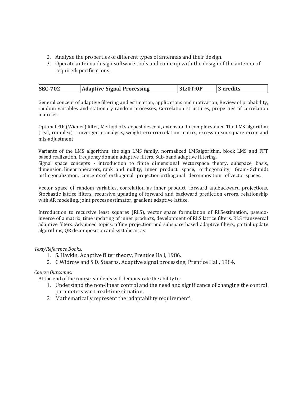- 2. Analyze the properties of different types of antennas and their design.
- 3. Operate antenna design software tools and come up with the design of the antenna of required specifications.

| <b>SEC-702</b> | <b>Adaptive Signal Processing</b> | 3L:0T:0P | 3 credits |
|----------------|-----------------------------------|----------|-----------|
|----------------|-----------------------------------|----------|-----------|

General concept of adaptive filtering and estimation, applications and motivation, Review of probability, random variables and stationary random processes, Correlation structures, properties of correlation matrices.

Optimal FIR (Wiener) filter, Method of steepest descent, extension to complexvalued The LMS algorithm (real, complex), convergence analysis, weight errorcorrelation matrix, excess mean square error and mis-adjustment

Variants of the LMS algorithm: the sign LMS family, normalized LMSalgorithm, block LMS and FFT based realization, frequency domain adaptive filters, Sub-band adaptive filtering.

Signal space concepts - introduction to finite dimensional vectorspace theory, subspace, basis, dimension, linear operators, rank and nullity, inner product space, orthogonality, Gram- Schmidt orthogonalization, concepts of orthogonal projection,orthogonal decomposition of vector spaces.

Vector space of random variables, correlation as inner product, forward andbackward projections, Stochastic lattice filters, recursive updating of forward and backward prediction errors, relationship with AR modeling, joint process estimator, gradient adaptive lattice.

Introduction to recursive least squares (RLS), vector space formulation of RLSestimation, pseudoinverse of a matrix, time updating of inner products, development of RLS lattice filters, RLS transversal adaptive filters. Advanced topics: affine projection and subspace based adaptive filters, partial update algorithms, QR decomposition and systolic array.

#### Text/Reference Books:

- 1. S. Haykin, Adaptive filter theory, Prentice Hall, 1986.
- 2. C.Widrow and S.D. Stearns, Adaptive signal processing, Prentice Hall, 1984.

#### Course Outcomes:

At the end of the course, students will demonstrate the ability to:

- 1. Understand the non-linear control and the need and significance of changing the control parameters w.r.t. real-time situation.
- 2. Mathematically represent the 'adaptability requirement'.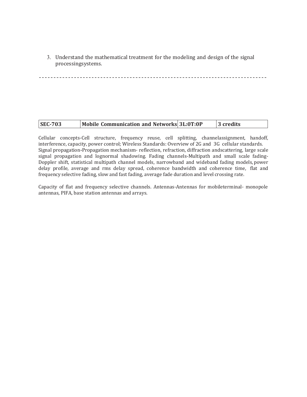3. Understand the mathematical treatment for the modeling and design of the signal processingsystems.

| <b>SEC-703</b><br>Mobile Communication and Networks 3L:0T:0P |  | 3 credits |
|--------------------------------------------------------------|--|-----------|
|--------------------------------------------------------------|--|-----------|

Cellular concepts-Cell structure, frequency reuse, cell splitting, channelassignment, handoff, interference, capacity, power control; Wireless Standards: Overview of 2G and 3G cellular standards. Signal propagation-Propagation mechanism- reflection, refraction, diffraction andscattering, large scale signal propagation and lognormal shadowing. Fading channels-Multipath and small scale fading-Doppler shift, statistical multipath channel models, narrowband and wideband fading models, power delay profile, average and rms delay spread, coherence bandwidth and coherence time, flat and frequency selective fading, slow and fast fading, average fade duration and level crossing rate.

Capacity of flat and frequency selective channels. Antennas-Antennas for mobileterminal- monopole antennas, PIFA, base station antennas and arrays.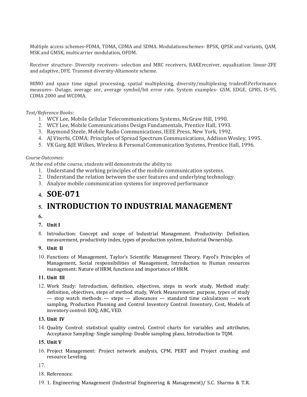Multiple access schemes-FDMA, TDMA, CDMA and SDMA. Modulationschemes- BPSK, QPSK and variants, QAM, MSK and GMSK, multicarrier modulation, OFDM.

Receiver structure- Diversity receivers- selection and MRC receivers, RAKEreceiver, equalization: linear-ZFE and adaptive, DFE. Transmit diversity-Altamonte scheme.

MIMO and space time signal processing, spatial multiplexing, diversity/multiplexing tradeoff.Performance measures- Outage, average snr, average symbol/bit error rate. System examples- GSM, EDGE, GPRS, IS-95, CDMA 2000 and WCDMA.

#### Text/Reference Books:

- 1. WCY Lee, Mobile Cellular Telecommunications Systems, McGraw Hill, 1990.
- 2. WCY Lee, Mobile Communications Design Fundamentals, Prentice Hall, 1993.
- 3. Raymond Steele, Mobile Radio Communications, IEEE Press, New York, 1992.
- 4. AJ Viterbi, CDMA: Principles of Spread Spectrum Communications, Addison Wesley, 1995.
- 5. VK Garg &JE Wilkes, Wireless & Personal Communication Systems, Prentice Hall, 1996.

#### Course Outcomes:

At the end of the course, students will demonstrate the ability to:

- 1. Understand the working principles of the mobile communication systems.
- 2. Understand the relation between the user features and underlying technology.
- 3. Analyze mobile communication systems for improved performance

### 4. SOE-071

## 5. INTRODUCTION TO INDUSTRIAL MANAGEMENT

- 6.
- 7. Unit I
- 8. Introduction: Concept and scope of Industrial Management. Productivity: Definition, measurement, productivity index, types of production system, Industrial Ownership.

#### 9. Unit II

10. Functions of Management, Taylor's Scientific Management Theory, Fayol's Principles of Management, Social responsibilities of Management, Introduction to Human resources management: Nature of HRM, functions and importance of HRM.

#### 11. Unit III

12. Work Study: Introduction, definition, objectives, steps in work study, Method study: definition, objectives, steps of method study, Work Measurement: purpose, types of study — stop watch methods — steps — allowances — standard time calculations — work sampling, Production Planning and Control Inventory Control: Inventory, Cost, Models of inventory control: EOQ, ABC, VED.

#### 13. Unit IV

14. Quality Control: statistical quality control, Control charts for variables and attributes, Acceptance Sampling- Single sampling- Double sampling plans, Introduction to TQM.

#### 15. Unit V

16. Project Management: Project network analysis, CPM, PERT and Project crashing and resource Leveling.

17.

- 18. References:
- 19. 1. Engineering Management (Industrial Engineering & Management)/ S.C. Sharma & T.R.